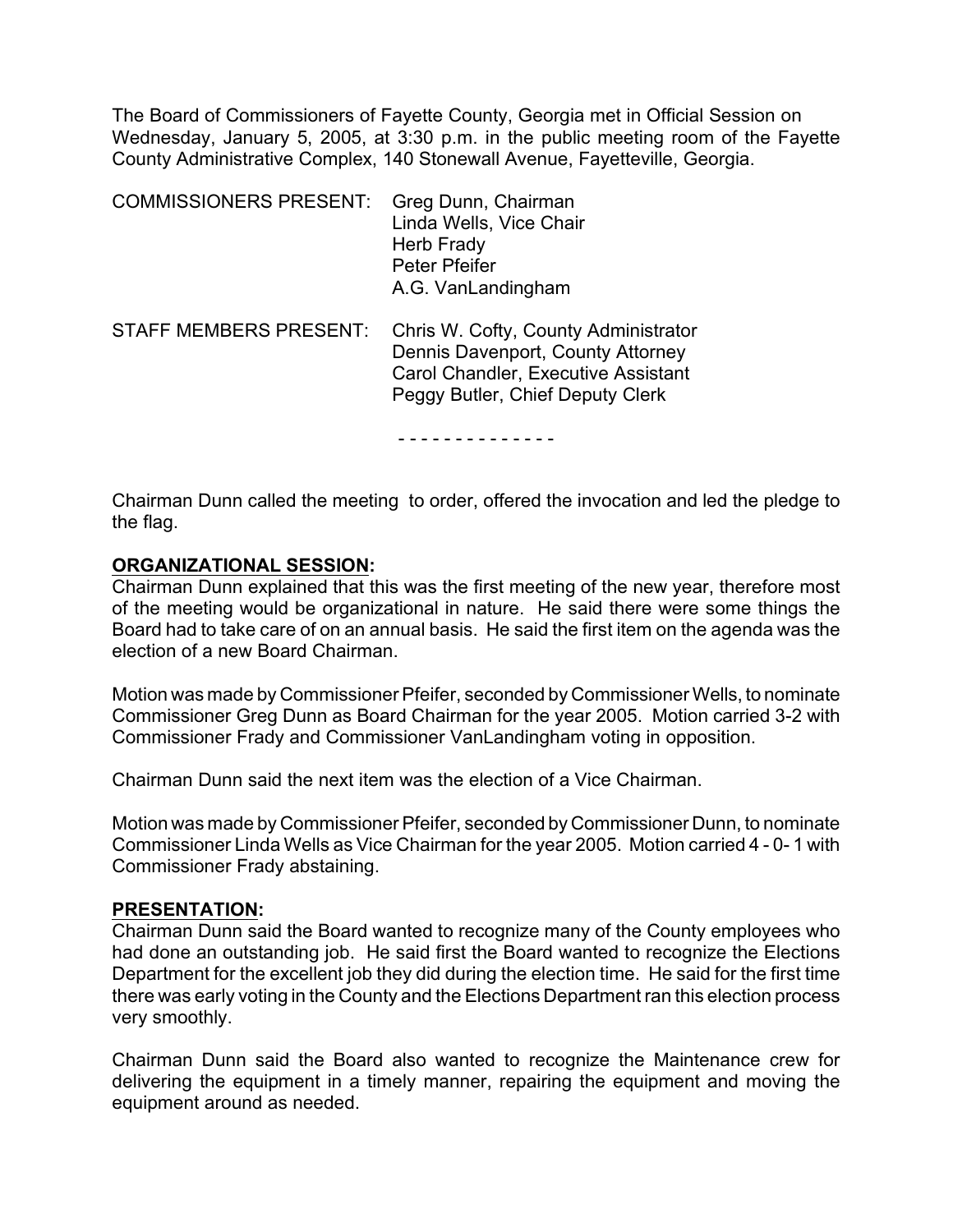The Board of Commissioners of Fayette County, Georgia met in Official Session on Wednesday, January 5, 2005, at 3:30 p.m. in the public meeting room of the Fayette County Administrative Complex, 140 Stonewall Avenue, Fayetteville, Georgia.

| <b>COMMISSIONERS PRESENT:</b> | Greg Dunn, Chairman<br>Linda Wells, Vice Chair<br>Herb Frady<br><b>Peter Pfeifer</b><br>A.G. VanLandingham                                           |
|-------------------------------|------------------------------------------------------------------------------------------------------------------------------------------------------|
| <b>STAFF MEMBERS PRESENT:</b> | Chris W. Cofty, County Administrator<br>Dennis Davenport, County Attorney<br>Carol Chandler, Executive Assistant<br>Peggy Butler, Chief Deputy Clerk |

- - - - - - - - - - - - - -

Chairman Dunn called the meeting to order, offered the invocation and led the pledge to the flag.

#### **ORGANIZATIONAL SESSION:**

Chairman Dunn explained that this was the first meeting of the new year, therefore most of the meeting would be organizational in nature. He said there were some things the Board had to take care of on an annual basis. He said the first item on the agenda was the election of a new Board Chairman.

Motion was made by Commissioner Pfeifer, seconded by Commissioner Wells, to nominate Commissioner Greg Dunn as Board Chairman for the year 2005. Motion carried 3-2 with Commissioner Frady and Commissioner VanLandingham voting in opposition.

Chairman Dunn said the next item was the election of a Vice Chairman.

Motion was made by Commissioner Pfeifer, seconded by Commissioner Dunn, to nominate Commissioner Linda Wells as Vice Chairman for the year 2005. Motion carried 4 - 0- 1 with Commissioner Frady abstaining.

#### **PRESENTATION:**

Chairman Dunn said the Board wanted to recognize many of the County employees who had done an outstanding job. He said first the Board wanted to recognize the Elections Department for the excellent job they did during the election time. He said for the first time there was early voting in the County and the Elections Department ran this election process very smoothly.

Chairman Dunn said the Board also wanted to recognize the Maintenance crew for delivering the equipment in a timely manner, repairing the equipment and moving the equipment around as needed.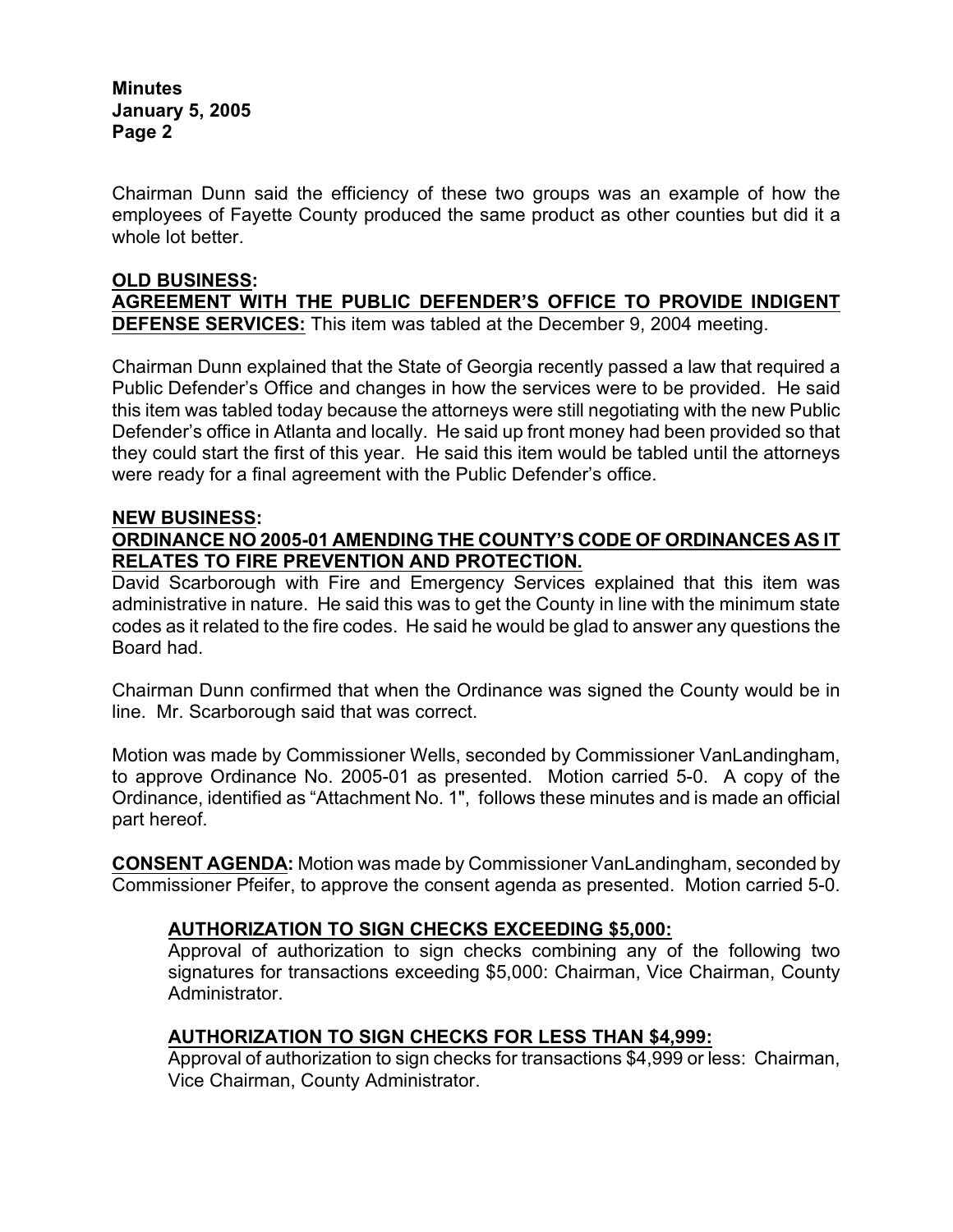Chairman Dunn said the efficiency of these two groups was an example of how the employees of Fayette County produced the same product as other counties but did it a whole lot better.

### **OLD BUSINESS: AGREEMENT WITH THE PUBLIC DEFENDER'S OFFICE TO PROVIDE INDIGENT DEFENSE SERVICES:** This item was tabled at the December 9, 2004 meeting.

Chairman Dunn explained that the State of Georgia recently passed a law that required a Public Defender's Office and changes in how the services were to be provided. He said this item was tabled today because the attorneys were still negotiating with the new Public Defender's office in Atlanta and locally. He said up front money had been provided so that they could start the first of this year. He said this item would be tabled until the attorneys were ready for a final agreement with the Public Defender's office.

#### **NEW BUSINESS:**

### **ORDINANCE NO 2005-01 AMENDING THE COUNTY'S CODE OF ORDINANCES AS IT RELATES TO FIRE PREVENTION AND PROTECTION.**

David Scarborough with Fire and Emergency Services explained that this item was administrative in nature. He said this was to get the County in line with the minimum state codes as it related to the fire codes. He said he would be glad to answer any questions the Board had.

Chairman Dunn confirmed that when the Ordinance was signed the County would be in line. Mr. Scarborough said that was correct.

Motion was made by Commissioner Wells, seconded by Commissioner VanLandingham, to approve Ordinance No. 2005-01 as presented. Motion carried 5-0. A copy of the Ordinance, identified as "Attachment No. 1", follows these minutes and is made an official part hereof.

**CONSENT AGENDA:** Motion was made by Commissioner VanLandingham, seconded by Commissioner Pfeifer, to approve the consent agenda as presented. Motion carried 5-0.

### **AUTHORIZATION TO SIGN CHECKS EXCEEDING \$5,000:**

Approval of authorization to sign checks combining any of the following two signatures for transactions exceeding \$5,000: Chairman, Vice Chairman, County Administrator.

### **AUTHORIZATION TO SIGN CHECKS FOR LESS THAN \$4,999:**

Approval of authorization to sign checks for transactions \$4,999 or less: Chairman, Vice Chairman, County Administrator.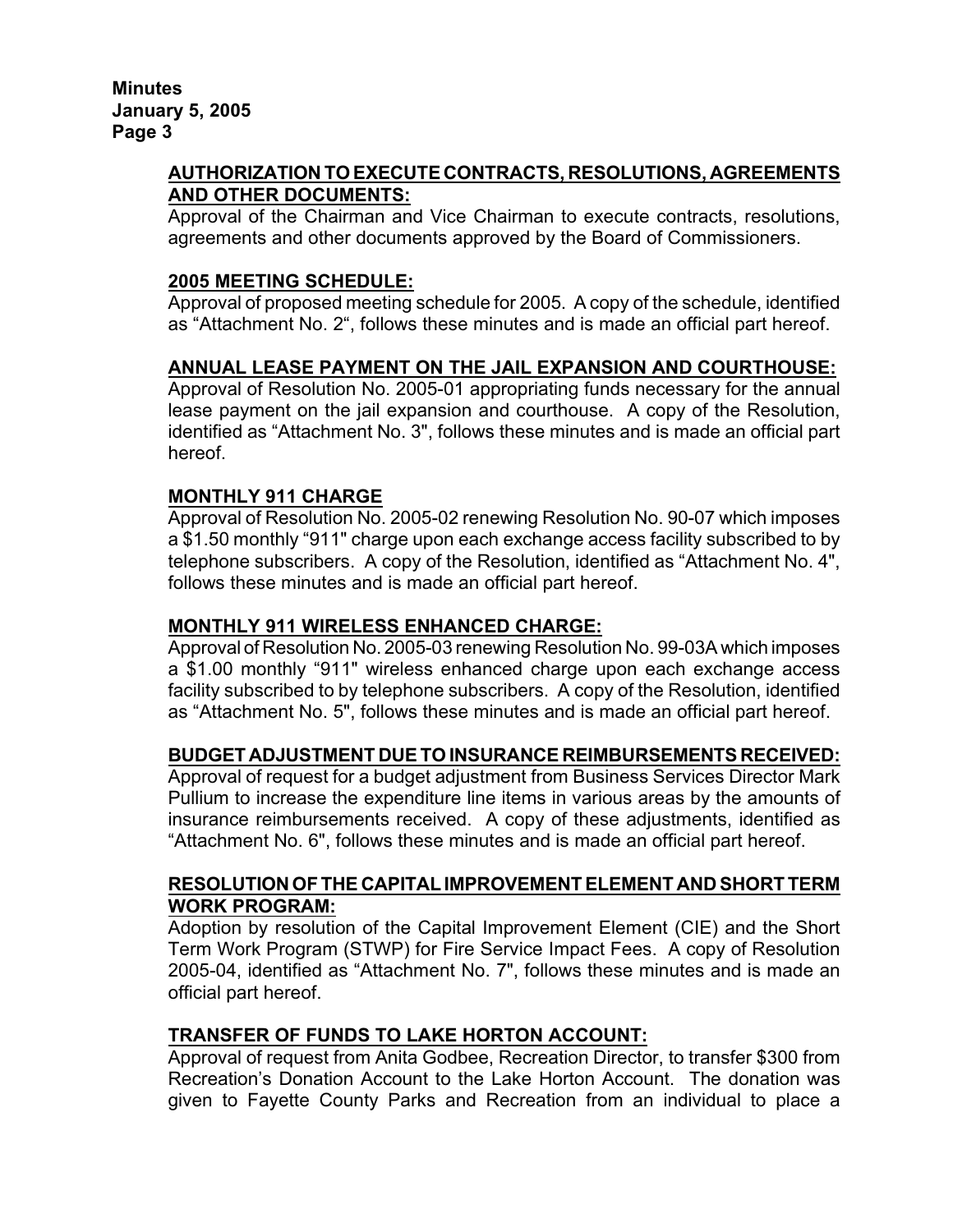## **AUTHORIZATION TO EXECUTE CONTRACTS, RESOLUTIONS, AGREEMENTS AND OTHER DOCUMENTS:**

Approval of the Chairman and Vice Chairman to execute contracts, resolutions, agreements and other documents approved by the Board of Commissioners.

### **2005 MEETING SCHEDULE:**

Approval of proposed meeting schedule for 2005. A copy of the schedule, identified as "Attachment No. 2", follows these minutes and is made an official part hereof.

## **ANNUAL LEASE PAYMENT ON THE JAIL EXPANSION AND COURTHOUSE:**

Approval of Resolution No. 2005-01 appropriating funds necessary for the annual lease payment on the jail expansion and courthouse. A copy of the Resolution, identified as "Attachment No. 3", follows these minutes and is made an official part hereof.

## **MONTHLY 911 CHARGE**

Approval of Resolution No. 2005-02 renewing Resolution No. 90-07 which imposes a \$1.50 monthly "911" charge upon each exchange access facility subscribed to by telephone subscribers. A copy of the Resolution, identified as "Attachment No. 4", follows these minutes and is made an official part hereof.

### **MONTHLY 911 WIRELESS ENHANCED CHARGE:**

Approval of Resolution No. 2005-03 renewing Resolution No. 99-03A which imposes a \$1.00 monthly "911" wireless enhanced charge upon each exchange access facility subscribed to by telephone subscribers. A copy of the Resolution, identified as "Attachment No. 5", follows these minutes and is made an official part hereof.

### **BUDGET ADJUSTMENT DUE TO INSURANCE REIMBURSEMENTS RECEIVED:**

Approval of request for a budget adjustment from Business Services Director Mark Pullium to increase the expenditure line items in various areas by the amounts of insurance reimbursements received. A copy of these adjustments, identified as "Attachment No. 6", follows these minutes and is made an official part hereof.

#### **RESOLUTION OF THE CAPITAL IMPROVEMENT ELEMENT AND SHORT TERM WORK PROGRAM:**

Adoption by resolution of the Capital Improvement Element (CIE) and the Short Term Work Program (STWP) for Fire Service Impact Fees. A copy of Resolution 2005-04, identified as "Attachment No. 7", follows these minutes and is made an official part hereof.

### **TRANSFER OF FUNDS TO LAKE HORTON ACCOUNT:**

Approval of request from Anita Godbee, Recreation Director, to transfer \$300 from Recreation's Donation Account to the Lake Horton Account. The donation was given to Fayette County Parks and Recreation from an individual to place a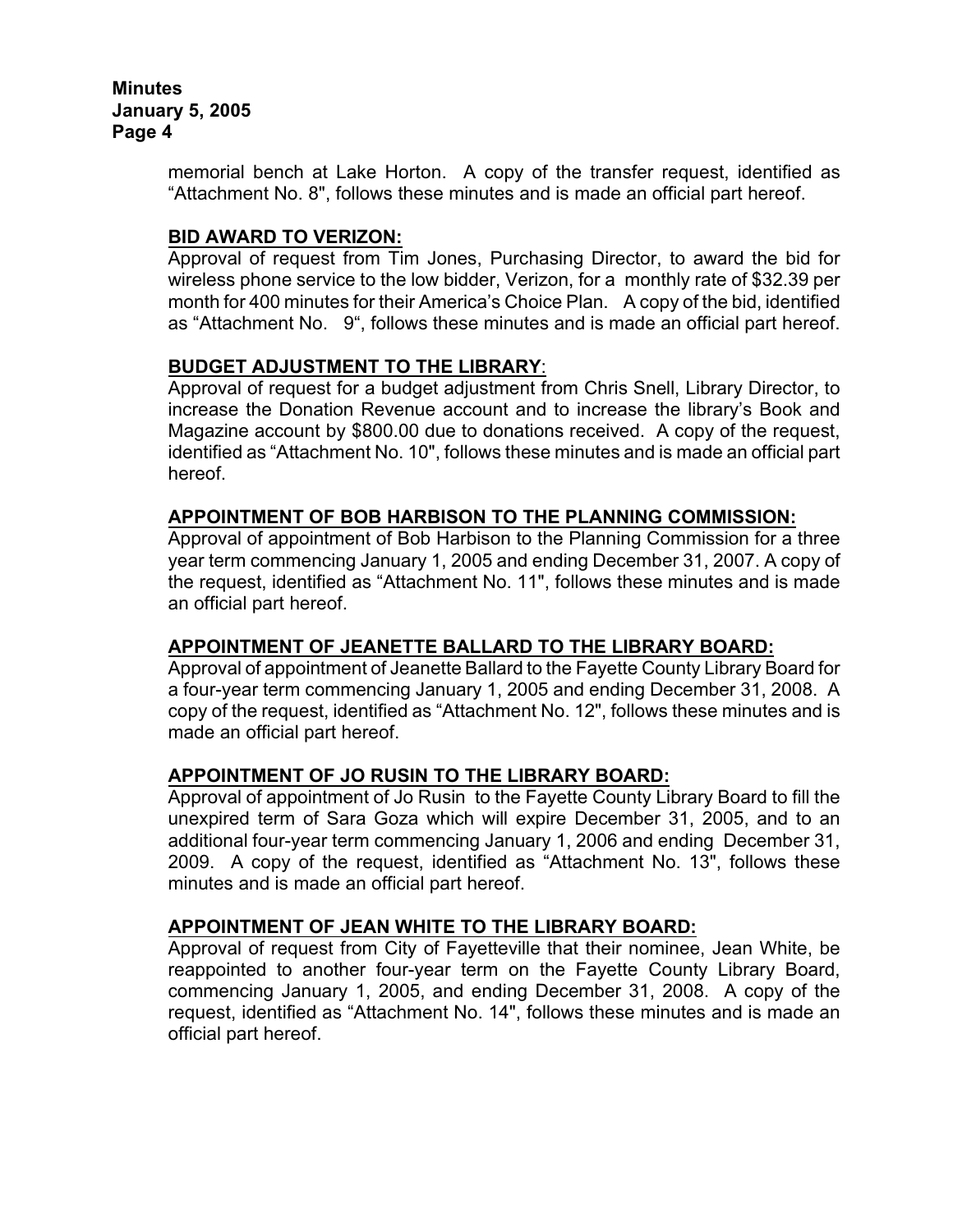memorial bench at Lake Horton. A copy of the transfer request, identified as "Attachment No. 8", follows these minutes and is made an official part hereof.

### **BID AWARD TO VERIZON:**

Approval of request from Tim Jones, Purchasing Director, to award the bid for wireless phone service to the low bidder, Verizon, for a monthly rate of \$32.39 per month for 400 minutes for their America's Choice Plan. A copy of the bid, identified as "Attachment No. 9", follows these minutes and is made an official part hereof.

### **BUDGET ADJUSTMENT TO THE LIBRARY**:

Approval of request for a budget adjustment from Chris Snell, Library Director, to increase the Donation Revenue account and to increase the library's Book and Magazine account by \$800.00 due to donations received. A copy of the request, identified as "Attachment No. 10", follows these minutes and is made an official part hereof.

### **APPOINTMENT OF BOB HARBISON TO THE PLANNING COMMISSION:**

Approval of appointment of Bob Harbison to the Planning Commission for a three year term commencing January 1, 2005 and ending December 31, 2007. A copy of the request, identified as "Attachment No. 11", follows these minutes and is made an official part hereof.

### **APPOINTMENT OF JEANETTE BALLARD TO THE LIBRARY BOARD:**

Approval of appointment of Jeanette Ballard to the Fayette County Library Board for a four-year term commencing January 1, 2005 and ending December 31, 2008. A copy of the request, identified as "Attachment No. 12", follows these minutes and is made an official part hereof.

# **APPOINTMENT OF JO RUSIN TO THE LIBRARY BOARD:**

Approval of appointment of Jo Rusin to the Fayette County Library Board to fill the unexpired term of Sara Goza which will expire December 31, 2005, and to an additional four-year term commencing January 1, 2006 and ending December 31, 2009. A copy of the request, identified as "Attachment No. 13", follows these minutes and is made an official part hereof.

### **APPOINTMENT OF JEAN WHITE TO THE LIBRARY BOARD:**

Approval of request from City of Fayetteville that their nominee, Jean White, be reappointed to another four-year term on the Fayette County Library Board, commencing January 1, 2005, and ending December 31, 2008. A copy of the request, identified as "Attachment No. 14", follows these minutes and is made an official part hereof.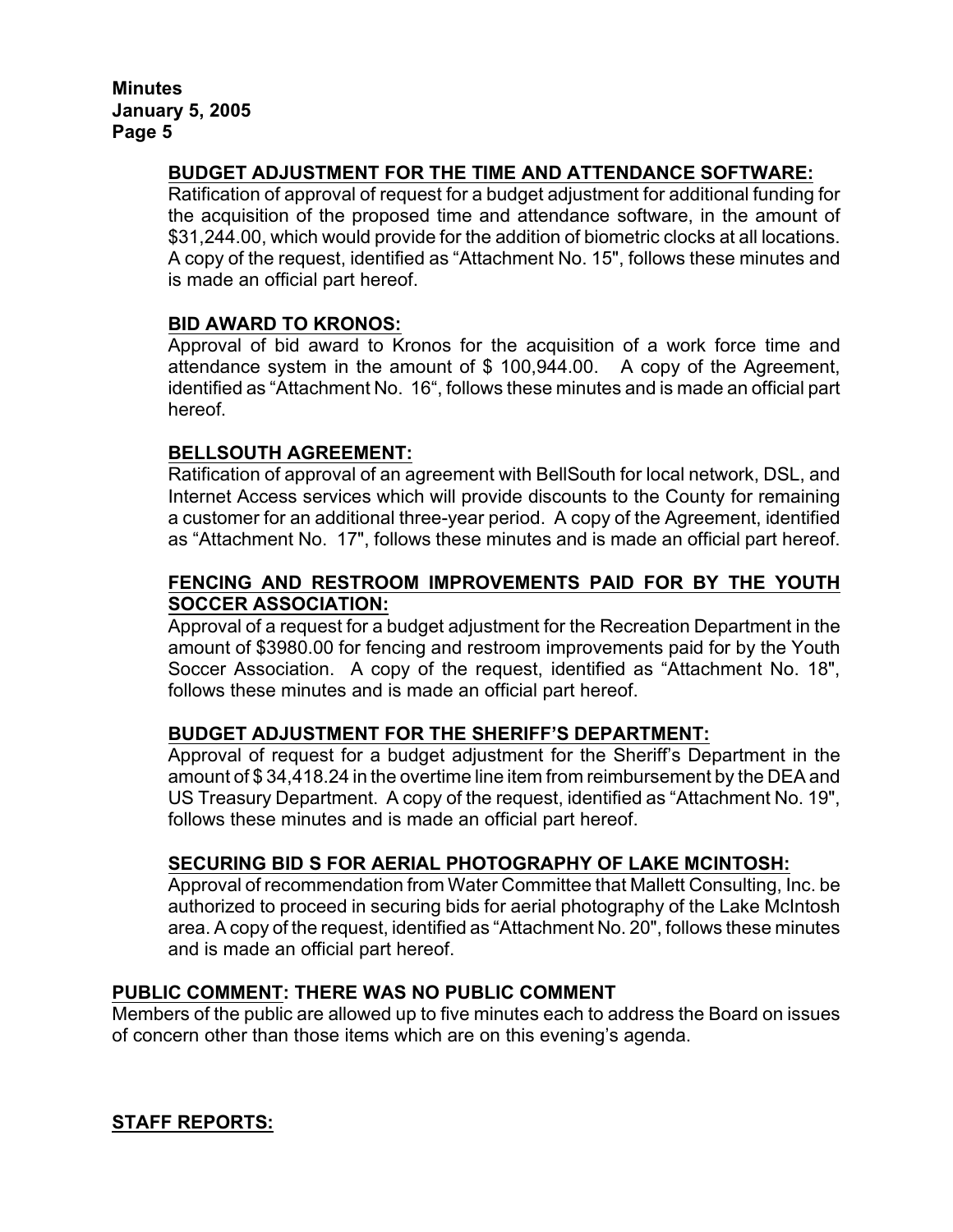## **BUDGET ADJUSTMENT FOR THE TIME AND ATTENDANCE SOFTWARE:**

Ratification of approval of request for a budget adjustment for additional funding for the acquisition of the proposed time and attendance software, in the amount of \$31,244.00, which would provide for the addition of biometric clocks at all locations. A copy of the request, identified as "Attachment No. 15", follows these minutes and is made an official part hereof.

### **BID AWARD TO KRONOS:**

Approval of bid award to Kronos for the acquisition of a work force time and attendance system in the amount of \$ 100,944.00. A copy of the Agreement, identified as "Attachment No. 16", follows these minutes and is made an official part hereof.

## **BELLSOUTH AGREEMENT:**

Ratification of approval of an agreement with BellSouth for local network, DSL, and Internet Access services which will provide discounts to the County for remaining a customer for an additional three-year period. A copy of the Agreement, identified as "Attachment No. 17", follows these minutes and is made an official part hereof.

## **FENCING AND RESTROOM IMPROVEMENTS PAID FOR BY THE YOUTH SOCCER ASSOCIATION:**

Approval of a request for a budget adjustment for the Recreation Department in the amount of \$3980.00 for fencing and restroom improvements paid for by the Youth Soccer Association. A copy of the request, identified as "Attachment No. 18", follows these minutes and is made an official part hereof.

### **BUDGET ADJUSTMENT FOR THE SHERIFF'S DEPARTMENT:**

Approval of request for a budget adjustment for the Sheriff's Department in the amount of \$ 34,418.24 in the overtime line item from reimbursement by the DEA and US Treasury Department. A copy of the request, identified as "Attachment No. 19", follows these minutes and is made an official part hereof.

### **SECURING BID S FOR AERIAL PHOTOGRAPHY OF LAKE MCINTOSH:**

Approval of recommendation from Water Committee that Mallett Consulting, Inc. be authorized to proceed in securing bids for aerial photography of the Lake McIntosh area. A copy of the request, identified as "Attachment No. 20", follows these minutes and is made an official part hereof.

### **PUBLIC COMMENT: THERE WAS NO PUBLIC COMMENT**

Members of the public are allowed up to five minutes each to address the Board on issues of concern other than those items which are on this evening's agenda.

# **STAFF REPORTS:**